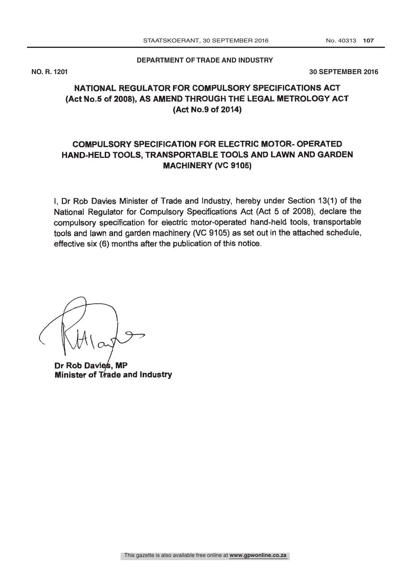**DEPARTMENT OF TRADE AND INDUSTRY** 

**NO. R. 1201 30 SEPTEMBER 2016**

# NATIONAL REGULATOR FOR COMPULSORY SPECIFICATIONS ACT (Act No.5 of 2008), AS AMEND THROUGH THE LEGAL METROLOGY ACT (Act No.9 of 2014)

# COMPULSORY SPECIFICATION FOR ELECTRIC MOTOR- OPERATED HAND -HELD TOOLS, TRANSPORTABLE TOOLS AND LAWN AND GARDEN MACHINERY (VC 9105)

I, Dr Rob Davies Minister of Trade and Industry, hereby under Section 13(1) of the National Regulator for Compulsory Specifications Act (Act 5 of 2008), declare the compulsory specification for electric motor -operated hand -held tools, transportable tools and lawn and garden machinery (VC 9105) as set out in the attached schedule, effective six (6) months after the publication of this notice.

Dr Rob Davies, MP Minister of  $T$  ade and Industry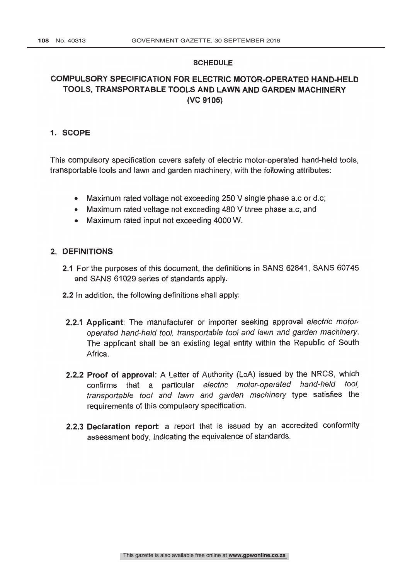#### SCHEDULE

## COMPULSORY SPECIFICATION FOR ELECTRIC MOTOR -OPERATED HAND -HELD TOOLS, TRANSPORTABLE TOOLS AND LAWN AND GARDEN MACHINERY (VC 9105)

### 1. SCOPE

This compulsory specification covers safety of electric motor -operated hand -held tools, transportable tools and lawn and garden machinery, with the following attributes:

- Maximum rated voltage not exceeding 250 V single phase a.c or d.c;
- Maximum rated voltage not exceeding 480 V three phase a.c; and
- Maximum rated input not exceeding 4000 W.

#### 2. DEFINITIONS

- 2.1 For the purposes of this document, the definitions in SANS 62841, SANS 60745 and SANS 61029 series of standards apply.
- 2.2 In addition, the following definitions shall apply:
- 2.2.1 Applicant: The manufacturer or importer seeking approval electric motoroperated hand-held tool, transportable tool and lawn and garden machinery. The applicant shall be an existing legal entity within the Republic of South **Africa**
- 2.2.2 Proof of approval: A Letter of Authority (LoA) issued by the NRCS, which confirms that a particular electric motor-operated hand-held tool, transportable tool and lawn and garden machinery type satisfies the requirements of this compulsory specification.
- 2.2.3 Declaration report: a report that is issued by an accredited conformity assessment body, indicating the equivalence of standards.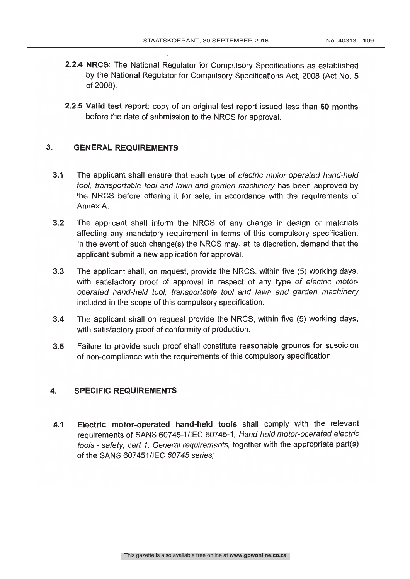- 2.2.4 NRCS: The National Regulator for Compulsory Specifications as established by the National Regulator for Compulsory Specifications Act, 2008 (Act No. 5 of 2008).
- 2.2.5 Valid test report: copy of an original test report issued less than 60 months before the date of submission to the NRCS for approval.

## 3. GENERAL REQUIREMENTS

- 3.1 The applicant shall ensure that each type of electric motor-operated hand-held tool, transportable tool and lawn and garden machinery has been approved by the NRCS before offering it for sale, in accordance with the requirements of Annex A.
- 3.2 The applicant shall inform the NRCS of any change in design or materials affecting any mandatory requirement in terms of this compulsory specification. In the event of such change(s) the NRCS may, at its discretion, demand that the applicant submit a new application for approval.
- 3.3 The applicant shall, on request, provide the NRCS, within five (5) working days, with satisfactory proof of approval in respect of any type of electric motoroperated hand-held tool, transportable tool and lawn and garden machinery included in the scope of this compulsory specification.
- 3.4 The applicant shall on request provide the NRCS, within five (5) working days, with satisfactory proof of conformity of production.
- 3.5 Failure to provide such proof shall constitute reasonable grounds for suspicion of non -compliance with the requirements of this compulsory specification.

## 4. SPECIFIC REQUIREMENTS

4.1 Electric motor -operated hand -held tools shall comply with the relevant requirements of SANS 60745-1/IEC 60745-1, Hand-held motor-operated electric tools - safety, part 1: General requirements, together with the appropriate part(s) of the SANS 607451/IEC 60745 series;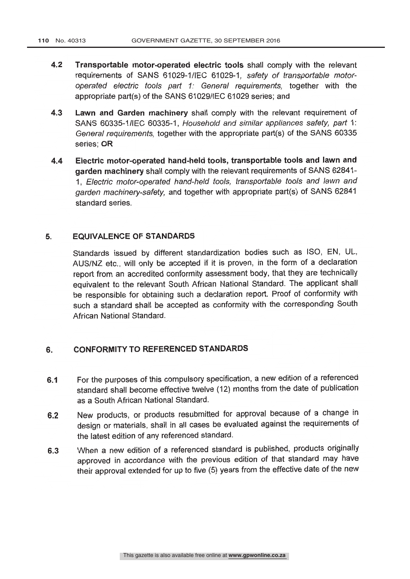- 4.2 Transportable motor-operated electric tools shall comply with the relevant requirements of SANS 61029-1/IEC 61029-1, safety of transportable motoroperated electric tools part 1: General requirements, together with the appropriate part(s) of the SANS 61029/IEC 61029 series; and
- 4.3 Lawn and Garden machinery shall comply with the relevant requirement of SANS 60335-1/IEC 60335-1, Household and similar appliances safety, part 1: General requirements, together with the appropriate part(s) of the SANS 60335 series; OR
- 4.4 Electric motor -operated hand -held tools, transportable tools and lawn and garden machinery shall comply with the relevant requirements of SANS 62841- 1, Electric motor -operated hand -held tools, transportable tools and lawn and garden machinery-safety, and together with appropriate part(s) of SANS 62841 standard series.

## 5. EQUIVALENCE OF STANDARDS

Standards issued by different standardization bodies such as ISO, EN, UL, AUS/NZ etc., will only be accepted if it is proven, in the form of a declaration report from an accredited conformity assessment body, that they are technically equivalent to the relevant South African National Standard. The applicant shall be responsible for obtaining such a declaration report. Proof of conformity with such a standard shall be accepted as conformity with the corresponding South African National Standard.

### 6. CONFORMITY TO REFERENCED STANDARDS

- 6.1 For the purposes of this compulsory specification, a new edition of a referenced standard shall become effective twelve (12) months from the date of publication as a South African National Standard.
- 6.2 New products, or products resubmitted for approval because of a change in design or materials, shall in all cases be evaluated against the requirements of the latest edition of any referenced standard.
- 6.3 When a new edition of a referenced standard is published, products originally approved in accordance with the previous edition of that standard may have their approval extended for up to five (5) years from the effective date of the new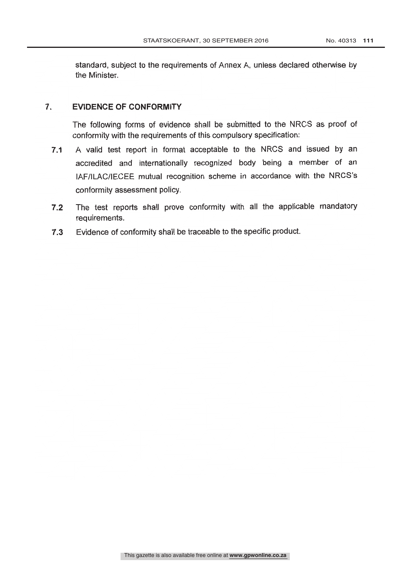standard, subject to the requirements of Annex A, unless declared otherwise by the Minister.

## 7. EVIDENCE OF CONFORMITY

The following forms of evidence shall be submitted to the NRCS as proof of conformity with the requirements of this compulsory specification:

- 7.1 A valid test report in format acceptable to the NRCS and issued by an accredited and internationally recognized body being a member of an IAF /ILAC /IECEE mutual recognition scheme in accordance with the NRCS's conformity assessment policy.
- 7.2 The test reports shall prove conformity with all the applicable mandatory requirements.
- 7.3 Evidence of conformity shall be traceable to the specific product.